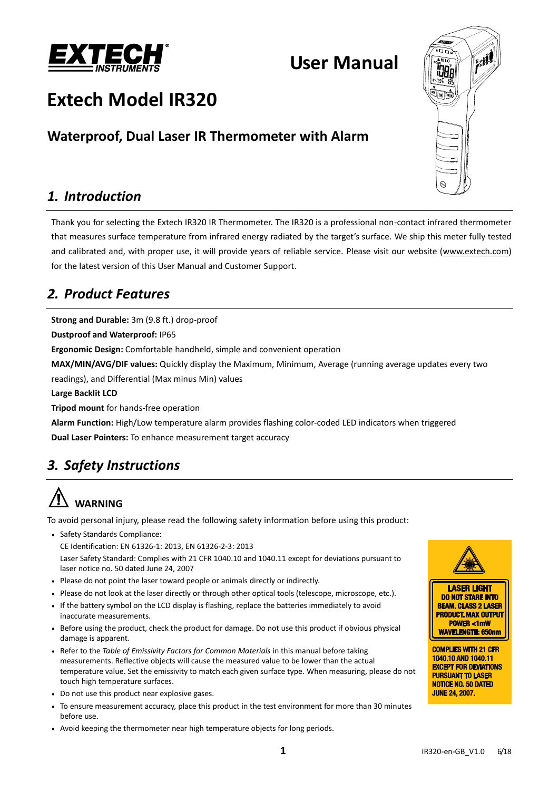

## **User Manual**

# **Extech Model IR320**

## **Waterproof, Dual Laser IR Thermometer with Alarm**

## *1. Introduction*

Thank you for selecting the Extech IR320 IR Thermometer. The IR320 is a professional non-contact infrared thermometer that measures surface temperature from infrared energy radiated by the target's surface. We ship this meter fully tested and calibrated and, with proper use, it will provide years of reliable service. Please visit our website [\(www.extech.com\)](http://www.extech.com/) for the latest version of this User Manual and Customer Support.

## *2. Product Features*

**Strong and Durable:** 3m (9.8 ft.) drop-proof

**Dustproof and Waterproof:** IP65

**Ergonomic Design:** Comfortable handheld, simple and convenient operation

**MAX/MIN/AVG/DIF values:** Quickly display the Maximum, Minimum, Average (running average updates every two

readings), and Differential (Max minus Min) values

**Large Backlit LCD**

**Tripod mount** for hands-free operation

**Alarm Function:** High/Low temperature alarm provides flashing color-coded LED indicators when triggered **Dual Laser Pointers:** To enhance measurement target accuracy

## *3. Safety Instructions*

# **WARNING**

To avoid personal injury, please read the following safety information before using this product:

• Safety Standards Compliance:

CE Identification: EN 61326-1: 2013, EN 61326-2-3: 2013

Laser Safety Standard: Complies with 21 CFR 1040.10 and 1040.11 except for deviations pursuant to laser notice no. 50 dated June 24, 2007

- Please do not point the laser toward people or animals directly or indirectly.
- Please do not look at the laser directly or through other optical tools (telescope, microscope, etc.).
- If the battery symbol on the LCD display is flashing, replace the batteries immediately to avoid inaccurate measurements.
- Before using the product, check the product for damage. Do not use this product if obvious physical damage is apparent.
- Refer to the *Table of Emissivity Factors for Common Materials* in this manual before taking measurements. Reflective objects will cause the measured value to be lower than the actual temperature value. Set the emissivity to match each given surface type. When measuring, please do not touch high temperature surfaces.
- Do not use this product near explosive gases.
- To ensure measurement accuracy, place this product in the test environment for more than 30 minutes before use.
- Avoid keeping the thermometer near high temperature objects for long periods.







**COMPLIES WITH 21 CFR** 1040.10 AND 1040.11 **EXCEPT FOR DEVIATIONS PURSUANT TO LASER NOTICE NO. 50 DATED JUNE 24, 2007.**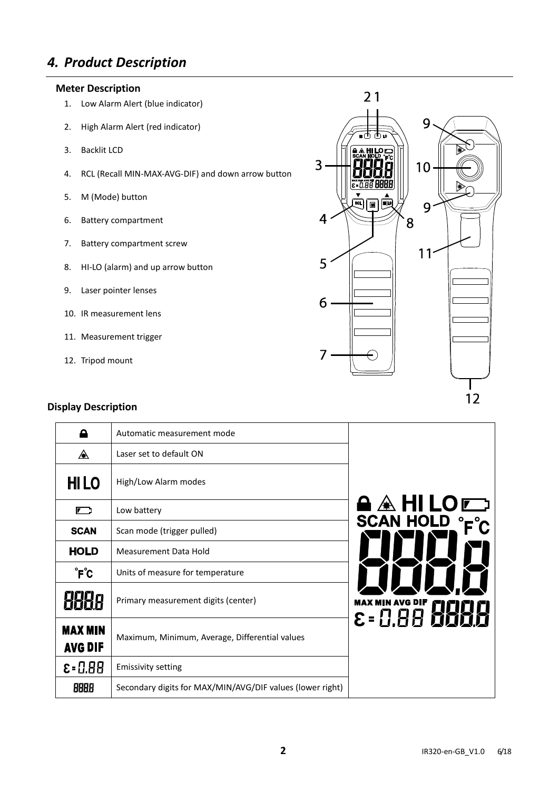## *4. Product Description*

#### **Meter Description**

- 1. Low Alarm Alert (blue indicator)
- 2. High Alarm Alert (red indicator)
- 3. Backlit LCD
- 4. RCL (Recall MIN-MAX-AVG-DIF) and down arrow button
- 5. M (Mode) button
- 6. Battery compartment
- 7. Battery compartment screw
- 8. HI-LO (alarm) and up arrow button
- 9. Laser pointer lenses
- 10. IR measurement lens
- 11. Measurement trigger
- 12. Tripod mount

#### **Display Description**

| Α                         | Automatic measurement mode                                |                  |
|---------------------------|-----------------------------------------------------------|------------------|
| ◬                         | Laser set to default ON                                   |                  |
| <b>HILO</b>               | High/Low Alarm modes                                      |                  |
| 厂                         | Low battery                                               | A A HI LO E      |
| <b>SCAN</b>               | Scan mode (trigger pulled)                                | <b>SCAN HOLD</b> |
| <b>HOLD</b>               | Measurement Data Hold                                     |                  |
| ˚F℃                       | Units of measure for temperature                          |                  |
|                           | Primary measurement digits (center)                       |                  |
| <b>MAX MIN</b><br>AVG DIF | Maximum, Minimum, Average, Differential values            |                  |
| $E = 0.88$                | <b>Emissivity setting</b>                                 |                  |
| 8888                      | Secondary digits for MAX/MIN/AVG/DIF values (lower right) |                  |
|                           |                                                           | MAX MIN AVG DIF  |

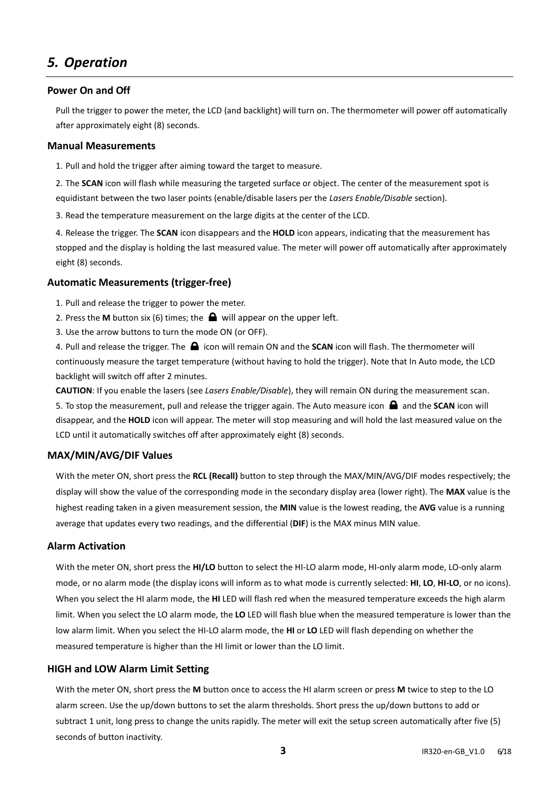## *5. Operation*

#### **Power On and Off**

Pull the trigger to power the meter, the LCD (and backlight) will turn on. The thermometer will power off automatically after approximately eight (8) seconds.

#### **Manual Measurements**

1. Pull and hold the trigger after aiming toward the target to measure.

2. The **SCAN** icon will flash while measuring the targeted surface or object. The center of the measurement spot is equidistant between the two laser points (enable/disable lasers per the *Lasers Enable/Disable* section).

3. Read the temperature measurement on the large digits at the center of the LCD.

4. Release the trigger. The **SCAN** icon disappears and the **HOLD** icon appears, indicating that the measurement has stopped and the display is holding the last measured value. The meter will power off automatically after approximately eight (8) seconds.

#### **Automatic Measurements (trigger-free)**

- 1. Pull and release the trigger to power the meter.
- 2. Press the **M** button six (6) times; the  $\bigoplus$  will appear on the upper left.
- 3. Use the arrow buttons to turn the mode ON (or OFF).

4. Pull and release the trigger. The **incon** will remain ON and the **SCAN** icon will flash. The thermometer will continuously measure the target temperature (without having to hold the trigger). Note that In Auto mode, the LCD backlight will switch off after 2 minutes.

**CAUTION**: If you enable the lasers (see *Lasers Enable/Disable*), they will remain ON during the measurement scan. 5. To stop the measurement, pull and release the trigger again. The Auto measure icon  $\bigoplus$  and the **SCAN** icon will disappear, and the **HOLD** icon will appear. The meter will stop measuring and will hold the last measured value on the LCD until it automatically switches off after approximately eight (8) seconds.

#### **MAX/MIN/AVG/DIF Values**

With the meter ON, short press the **RCL (Recall)** button to step through the MAX/MIN/AVG/DIF modes respectively; the display will show the value of the corresponding mode in the secondary display area (lower right). The **MAX** value is the highest reading taken in a given measurement session, the **MIN** value is the lowest reading, the **AVG** value is a running average that updates every two readings, and the differential (**DIF**) is the MAX minus MIN value.

#### **Alarm Activation**

With the meter ON, short press the **HI/LO** button to select the HI-LO alarm mode, HI-only alarm mode, LO-only alarm mode, or no alarm mode (the display icons will inform as to what mode is currently selected: **HI**, **LO**, **HI-LO**, or no icons). When you select the HI alarm mode, the **HI** LED will flash red when the measured temperature exceeds the high alarm limit. When you select the LO alarm mode, the **LO** LED will flash blue when the measured temperature is lower than the low alarm limit. When you select the HI-LO alarm mode, the **HI** or **LO** LED will flash depending on whether the measured temperature is higher than the HI limit or lower than the LO limit.

#### **HIGH and LOW Alarm Limit Setting**

With the meter ON, short press the **M** button once to access the HI alarm screen or press **M** twice to step to the LO alarm screen. Use the up/down buttons to set the alarm thresholds. Short press the up/down buttons to add or subtract 1 unit, long press to change the units rapidly. The meter will exit the setup screen automatically after five (5) seconds of button inactivity.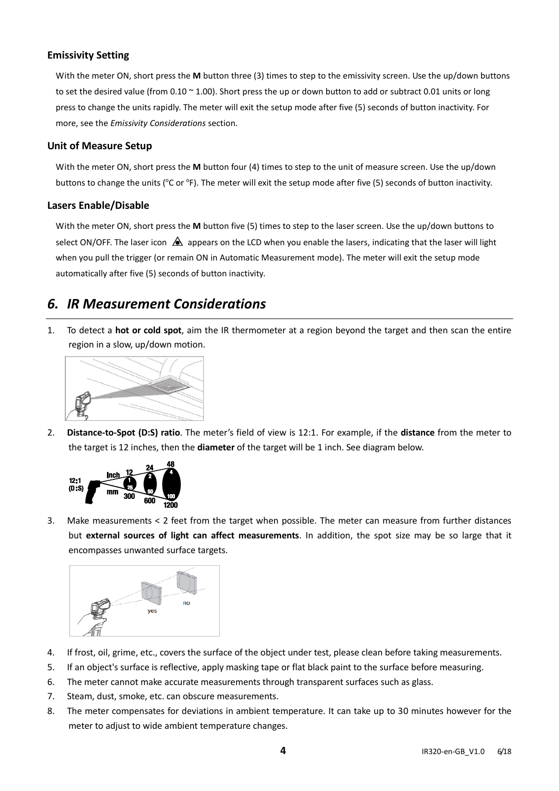#### **Emissivity Setting**

With the meter ON, short press the **M** button three (3) times to step to the emissivity screen. Use the up/down buttons to set the desired value (from  $0.10 \times 1.00$ ). Short press the up or down button to add or subtract 0.01 units or long press to change the units rapidly. The meter will exit the setup mode after five (5) seconds of button inactivity. For more, see the *Emissivity Considerations* section.

#### **Unit of Measure Setup**

With the meter ON, short press the **M** button four (4) times to step to the unit of measure screen. Use the up/down buttons to change the units (°C or °F). The meter will exit the setup mode after five (5) seconds of button inactivity.

#### **Lasers Enable/Disable**

With the meter ON, short press the **M** button five (5) times to step to the laser screen. Use the up/down buttons to select ON/OFF. The laser icon  $\triangle$  appears on the LCD when you enable the lasers, indicating that the laser will light when you pull the trigger (or remain ON in Automatic Measurement mode). The meter will exit the setup mode automatically after five (5) seconds of button inactivity.

## *6. IR Measurement Considerations*

1. To detect a **hot or cold spot**, aim the IR thermometer at a region beyond the target and then scan the entire region in a slow, up/down motion.



2. **Distance-to-Spot (D:S) ratio**. The meter's field of view is 12:1. For example, if the **distance** from the meter to the target is 12 inches, then the **diameter** of the target will be 1 inch. See diagram below.



3. Make measurements < 2 feet from the target when possible. The meter can measure from further distances but **external sources of light can affect measurements**. In addition, the spot size may be so large that it encompasses unwanted surface targets.



- 4. If frost, oil, grime, etc., covers the surface of the object under test, please clean before taking measurements.
- 5. If an object's surface is reflective, apply masking tape or flat black paint to the surface before measuring.
- 6. The meter cannot make accurate measurements through transparent surfaces such as glass.
- 7. Steam, dust, smoke, etc. can obscure measurements.
- 8. The meter compensates for deviations in ambient temperature. It can take up to 30 minutes however for the meter to adjust to wide ambient temperature changes.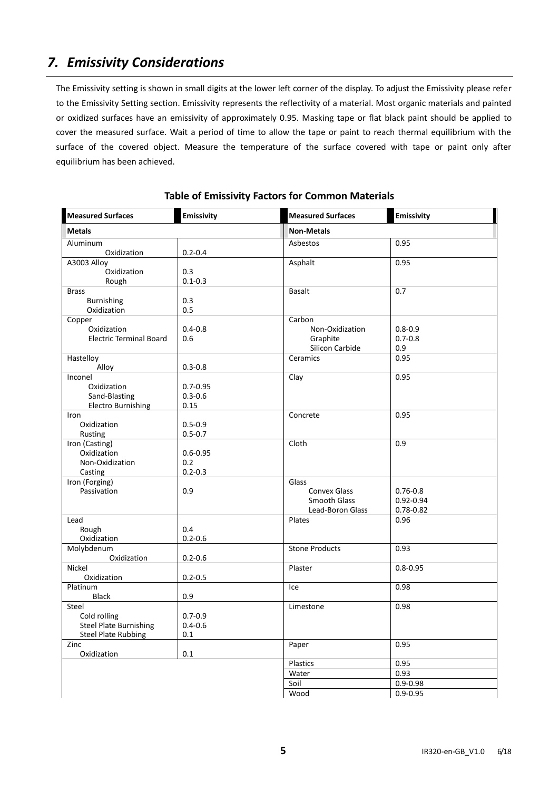## *7. Emissivity Considerations*

The Emissivity setting is shown in small digits at the lower left corner of the display. To adjust the Emissivity please refer to the Emissivity Setting section. Emissivity represents the reflectivity of a material. Most organic materials and painted or oxidized surfaces have an emissivity of approximately 0.95. Masking tape or flat black paint should be applied to cover the measured surface. Wait a period of time to allow the tape or paint to reach thermal equilibrium with the surface of the covered object. Measure the temperature of the surface covered with tape or paint only after equilibrium has been achieved.

| <b>Measured Surfaces</b>                      | <b>Emissivity</b>  | <b>Measured Surfaces</b>                | <b>Emissivity</b>          |
|-----------------------------------------------|--------------------|-----------------------------------------|----------------------------|
| <b>Metals</b>                                 |                    | <b>Non-Metals</b>                       |                            |
| Aluminum                                      |                    | Asbestos                                | 0.95                       |
| Oxidization                                   | $0.2 - 0.4$        |                                         |                            |
| A3003 Alloy                                   |                    | Asphalt                                 | 0.95                       |
| Oxidization                                   | 0.3                |                                         |                            |
| Rough                                         | $0.1 - 0.3$        |                                         |                            |
| <b>Brass</b>                                  |                    | <b>Basalt</b>                           | 0.7                        |
| Burnishing                                    | 0.3                |                                         |                            |
| Oxidization                                   | 0.5                |                                         |                            |
| Copper                                        |                    | Carbon                                  |                            |
| Oxidization<br><b>Electric Terminal Board</b> | $0.4 - 0.8$<br>0.6 | Non-Oxidization<br>Graphite             | $0.8 - 0.9$<br>$0.7 - 0.8$ |
|                                               |                    | Silicon Carbide                         | 0.9                        |
| Hastelloy                                     |                    | Ceramics                                | 0.95                       |
| Alloy                                         | $0.3 - 0.8$        |                                         |                            |
| Inconel                                       |                    | Clay                                    | 0.95                       |
| Oxidization                                   | $0.7 - 0.95$       |                                         |                            |
| Sand-Blasting                                 | $0.3 - 0.6$        |                                         |                            |
| <b>Electro Burnishing</b>                     | 0.15               |                                         |                            |
| Iron                                          |                    | Concrete                                | 0.95                       |
| Oxidization                                   | $0.5 - 0.9$        |                                         |                            |
| Rusting                                       | $0.5 - 0.7$        |                                         |                            |
| Iron (Casting)                                |                    | Cloth                                   | 0.9                        |
| Oxidization                                   | $0.6 - 0.95$       |                                         |                            |
| Non-Oxidization                               | 0.2                |                                         |                            |
| Casting                                       | $0.2 - 0.3$        |                                         |                            |
| Iron (Forging)                                |                    | Glass                                   |                            |
| Passivation                                   | 0.9                | <b>Convex Glass</b>                     | $0.76 - 0.8$               |
|                                               |                    | <b>Smooth Glass</b><br>Lead-Boron Glass | $0.92 - 0.94$              |
| Lead                                          |                    | Plates                                  | 0.78-0.82<br>0.96          |
| Rough                                         | 0.4                |                                         |                            |
| Oxidization                                   | $0.2 - 0.6$        |                                         |                            |
| Molybdenum                                    |                    | <b>Stone Products</b>                   | 0.93                       |
| Oxidization                                   | $0.2 - 0.6$        |                                         |                            |
| Nickel                                        |                    | Plaster                                 | $0.8 - 0.95$               |
| Oxidization                                   | $0.2 - 0.5$        |                                         |                            |
| Platinum                                      |                    | Ice                                     | 0.98                       |
| Black                                         | 0.9                |                                         |                            |
| Steel                                         |                    | Limestone                               | 0.98                       |
| Cold rolling                                  | $0.7 - 0.9$        |                                         |                            |
| <b>Steel Plate Burnishing</b>                 | $0.4 - 0.6$        |                                         |                            |
| <b>Steel Plate Rubbing</b>                    | 0.1                |                                         |                            |
| Zinc                                          |                    | Paper                                   | 0.95                       |
| Oxidization                                   | $0.1\,$            |                                         |                            |
|                                               |                    | Plastics                                | 0.95                       |
|                                               |                    | Water                                   | 0.93                       |
|                                               |                    | Soil                                    | $0.9 - 0.98$               |
|                                               |                    | Wood                                    | $0.9 - 0.95$               |

**Table of Emissivity Factors for Common Materials**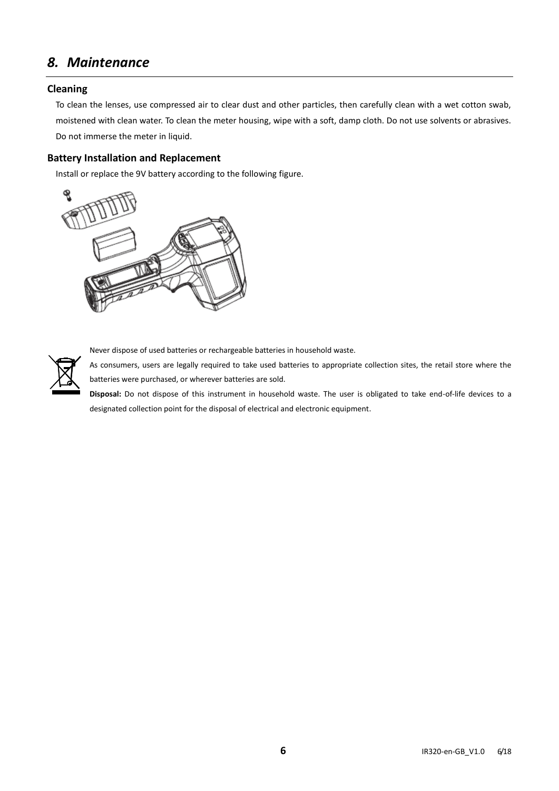## *8. Maintenance*

#### **Cleaning**

To clean the lenses, use compressed air to clear dust and other particles, then carefully clean with a wet cotton swab, moistened with clean water. To clean the meter housing, wipe with a soft, damp cloth. Do not use solvents or abrasives. Do not immerse the meter in liquid.

#### **Battery Installation and Replacement**

Install or replace the 9V battery according to the following figure.





Never dispose of used batteries or rechargeable batteries in household waste.

As consumers, users are legally required to take used batteries to appropriate collection sites, the retail store where the batteries were purchased, or wherever batteries are sold.

**Disposal:** Do not dispose of this instrument in household waste. The user is obligated to take end-of-life devices to a designated collection point for the disposal of electrical and electronic equipment.